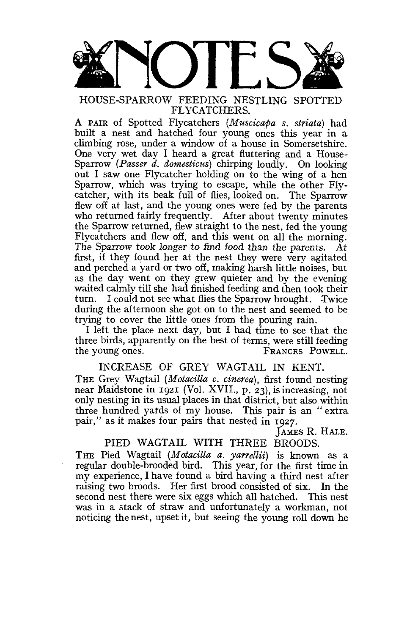

# HOUSE-SPARROW FEEDING NESTLING SPOTTED FLYCATCHERS.

A PAIR of Spotted Flycatchers *(Muscicapa s. striata)* had built a nest and hatched four young ones this year in a climbing rose, under a window of a house in Somersetshire. One very wet day I heard a great fluttering and a House-Sparrow *(Passer d. domesticus)* chirping loudly. On looking out I saw one Flycatcher holding on to the wing of a hen Sparrow, which was trying to escape, while the other Flycatcher, with its beak full of flies, looked on. The Sparrow flew off at last, and the young ones were fed by the parents who returned fairly frequently. After about twenty minutes the Sparrow returned, flew straight to the nest, fed the young Flycatchers and flew off, and this went on all the morning. The Sparrow took longer to find food than the parents. At first, if they found her at the nest they were very agitated and perched a yard or two off, making harsh little noises, but as the day went on they grew quieter and by the evening waited calmly till she had finished feeding and then took their turn. I could not see what flies the Sparrow brought. Twice during the afternoon she got on to the nest and seemed to be trying to cover the little ones from the pouring rain.

I left the place next day, but I had time to see that the three birds, apparently on the best of terms, were still feeding the young ones. FRANCES POWELL.

INCREASE OF GREY WAGTAIL IN KENT. THE Grey Wagtail (Motacilla c. cinerea), first found nesting near Maidstone in 1921 (Vol. XVIL, p. 23), is increasing, not only nesting in its usual places in that district, but also within three hundred yards of my house. This pair is an " extra pair," as it makes four pairs that nested in 1927.

JAMES R. HALE.

# PIED WAGTAIL WITH THREE BROODS.

THE Pied Wagtail (Motacilla a. yarrellii) is known as a regular double-brooded bird. This year, for the first time in my experience, I have found a bird having a third nest after raising two broods. Her first brood consisted of six. In the second nest there were six eggs which all hatched. This nest was in a stack of straw and unfortunately a workman, not noticing the nest, upset it, but seeing the young roll down he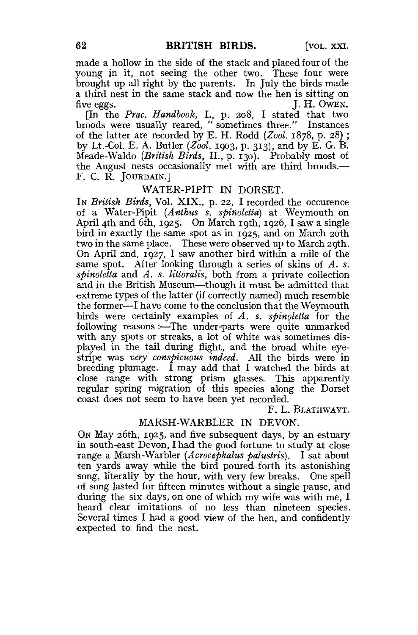made a hollow in the side of the stack and placed four of the young in it, not seeing the other two. These four were brought up all right by the parents. In July the birds made a third nest in the same stack and now the hen is sitting on five eggs. J. H. OWEN.

[In the *Prac. Handbook,* I., p. 208, I stated that two broods were usually reared, " sometimes three." Instances of the latter are recorded by E. H. Rodd *(Zool.* 1878, p. 28) ; by Lt.-Col. E. A. Butler *(Zool.* 1903, p. 313), and by E. G. B. Meade-Waldo *(British Birds,* II., p. 130). Probably most of the August nests occasionally met with are third broods.— F. C. R. JOURDAIN.]

#### WATER-PIPIT IN DORSET.

IN *British Birds,* Vol. XIX., p. 22, I recorded the occurence of a Water-Pipit *(Anthus s. spinoletta)* at Weymouth on April 4th and 6th, 1925. On March 19th, 1926, I saw a single bird in exactly the same spot as in 1925, and on March 20th two in the same place. These were observed up to March 20th. On April 2nd, 1927, I saw another bird within a mile of the same spot. After looking through a series of skins of *A. s. spinoletta* and *A. s. littoralis,* both from a private collection and in the British Museum—though it must be admitted that extreme types of the latter (if correctly named) much resemble the former—I have come to the conclusion that the Weymouth birds were certainly examples of *A. s. spinoletta* for the following reasons:—The under-parts were quite unmarked with any spots or streaks, a lot of white was sometimes displayed in the tail during flight, and the broad white eyestripe was *very' conspicuous indeed.* All the birds were in breeding plumage. I may add that I watched the birds at close range with strong prism glasses. This apparently regular spring migration of this species along the Dorset coast does not seem to have been yet recorded.

F. L. BLATHWAYT.

#### MARSH-WARBLER IN DEVON.

ON May 26th, 1925, and five subsequent days, by an estuary in south-east Devon, I had the good fortune to study at close range a Marsh-Warbler *(Acrocephalus palustris).* I sat about ten yards away while the bird poured forth its astonishing song, literally by the hour, with very few breaks. One spell of song lasted for fifteen minutes without a single pause, and during the six days, on one of which my wife was with me, I heard clear imitations of no less than nineteen species. Several times I had a good view of the hen, and confidently expected to find the nest.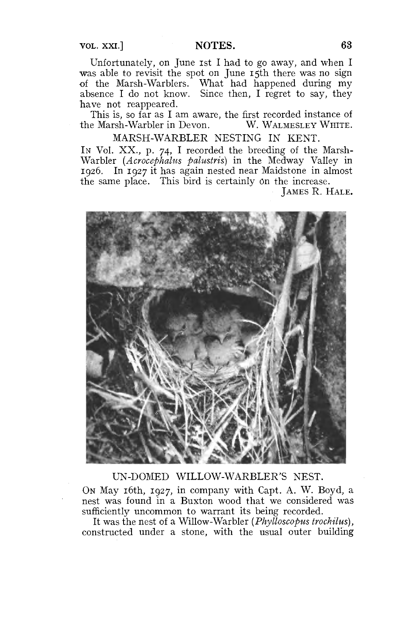# VOL. XXI.] **NOTES. 63**

Unfortunately, on June ist I had to go away, and when I was able to revisit the spot on June 15th there was no sign of the Marsh-Warblers. What had happened during my absence I do not know. Since then, I regret to say, they have not reappeared.

This is, so far as I am aware, the first recorded instance of e Marsh-Warbler in Devon. W. WALMESLEY WHITE. the Marsh-Warbler in Devon.

MARSH-WARBLER NESTING IN KENT.

IN Vol. XX., p. 74, I recorded the breeding of the Marsh-Warbler *(Acrocephalus palustris)* in the Medway Valley in 1926. In 1927 it has again nested near Maidstone in almost the same place. This bird is certainly On the increase.

JAMES R. HALE.



# UN-DOMED WILLOW-WARBLER'S NEST.

ON May 16th, 1927, in company with Capt. A. W. Boyd, a nest was found in a Buxton wood that we considered was sufficiently uncommon to warrant its being recorded.

It was the nest of a Willow-Warbler *(Phylloscopus trochilus),*  constructed under a stone, with the usual outer building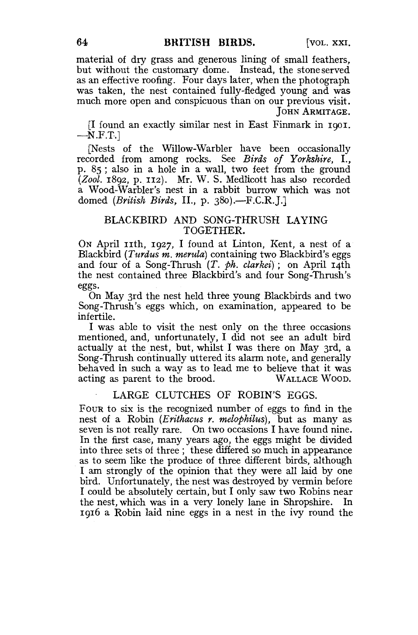material of dry grass and generous lining of small feathers, but without the customary dome. Instead, the stone served as an effective roofing. Four days later, when the photograph was taken, the nest contained fully-fledged young and was much more open and conspicuous than on our previous visit. JOHN ARMITAGE.

[I found an exactly similar nest in East Finmark in 1901.  $-N.F.T.$ ]

[Nests of the Willow-Warbler have been occasionally recorded from among rocks. See *Birds of Yorkshire,* I., p. 85 ; also in a hole in a wall, two feet from the ground *(Zool.* 1892, p. 112}. Mr. W. S. Medlicott has also recorded a Wood-Warbler's nest in a rabbit burrow which was not domed *(British Birds,* II., p. 380).—F.C.R.J.]

# BLACKBIRD AND SONG-THRUSH LAYING TOGETHER.

ON April 11th, 1927, I found at Linton, Kent, a nest of a Blackbird *(Turdus m. merula)* containing two Blackbird's eggs and four of a Song-Thrush *(T. ph. clarkei)*; on April 14th the nest contained three Blackbird's and four Song-Thrush's eggs.

On May 3rd the nest held three young Blackbirds and two Song-Thrush's eggs which, on examination, appeared to be infertile.

I was able to visit the nest only on the three occasions mentioned, and, unfortunately, I did not see an adult bird actually at the nest, but, whilst I was there on May 3rd, a Song-Thrush continually uttered its alarm note, and generally behaved in such a way as to lead me to believe that it was acting as parent to the brood. WALLACE WOOD. acting as parent to the brood.

#### LARGE CLUTCHES OF ROBIN'S EGGS.

FOUR to six is the recognized number of eggs to find in the nest of a Robin *(Erithacus r. melophilus),* but as many as seven is not really rare. On two occasions I have found nine. In the first case, many years ago, the eggs might be divided into three sets of three ; these differed so much in appearance as to seem like the produce of three different birds, although I am strongly of the opinion that they were all laid by one bird. Unfortunately, the nest was destroyed by vermin before I could be absolutely certain, but I only saw two Robins near the nest, which was in a very lonely lane in Shropshire. In 1916 a Robin laid nine eggs in a nest in the ivy round the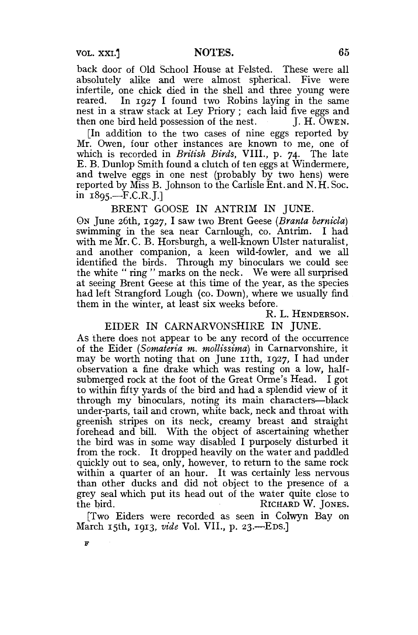back door of Old School House at Felsted. These were all absolutely alike and were almost spherical. Five were infertile, one chick died in the shell and three young were reared. In 1927 I found two Robins laying in the same nest in a straw stack at Ley Priory; each laid five eggs and then one bird held possession of the nest. J. H. OWEN.

[In addition to the two cases of nine eggs reported by Mr. Owen, four other instances are known to me, one of which is recorded in *British Birds,* VIII., p. 74. The late E. B. Dunlop Smith found a clutch of ten eggs at Windermere, and twelve eggs in one nest (probably by two hens) were reported by Miss B. Johnson to the Carlisle Ent. and N. H. Soc. in 1895.—F.C.R.J.]

BRENT GOOSE IN ANTRIM IN JUNE.

ON June 26th, 1927, I saw two Brent Geese *(Branta bernicla)*  swimming in the sea near Carnlough, co. Antrim. I had with me Mr. C. B. Horsburgh, a well-known Ulster naturalist, and another companion, a keen wild-fowler, and we all identified the birds. Through my binoculars we could see the white " ring " marks on the neck. We were all surprised at seeing Brent Geese at this time of the year, as the species had left Strangford Lough (co. Down), where we usually find them in the winter, at least six weeks before.

R. L. HENDERSON.

# EIDER IN CARNARVONSHIRE IN JUNE.

As there does not appear to be any record of the occurrence of the Eider *(Somateria m. mollissima)* in Carnarvonshire, it may be worth noting that on June 11th,  $1927$ , I had under observation a fine drake which was resting on a low, halfsubmerged rock at the foot of the Great Orme's Head. I got to within fifty yards of the bird and had a splendid view of it through my binoculars, noting its main characters—black under-parts, tail and crown, white back, neck and throat with greenish stripes on its neck, creamy breast and straight forehead and bill. With the object of ascertaining whether the bird was in some way disabled I purposely disturbed it from the rock. It dropped heavily on the water and paddled quickly out to sea, only, however, to return to the same rock within a quarter of an hour. It was certainly less nervous than other ducks and did not object to the presence of a grey seal which put its head out of the water quite close to the bird. RICHARD W. JONES.

[Two Eiders were recorded as seen in Colwyn Bay on March 15th, 1913, *vide* Vol. VII., p. 23.—EDS.]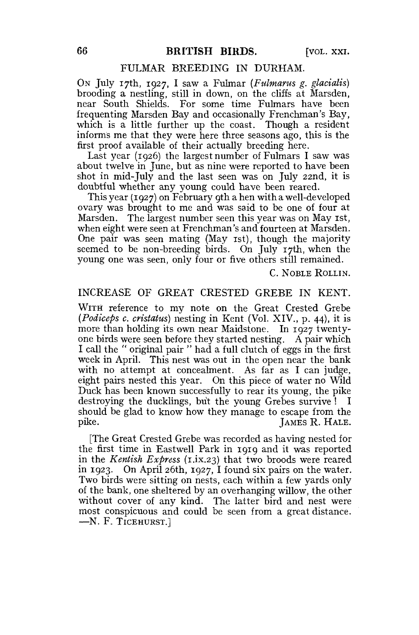#### FULMAR BREEDING IN DURHAM.

ON July 17th, 1927, I saw a Fulmar *(Fulmarus g. glacialis)*  brooding a nestling, still in down, on the cliffs at Marsden, near South Shields. For some time Fulmars have been frequenting Marsden Bay and occasionally Frenchman's Bay, which is a little further up the coast. Though a resident informs me that they were here three seasons ago, this is the first proof available of their actually breeding here.

Last year (1926) the largest number of Fulmars I saw was about twelve in June, but as nine were reported to have been shot in mid-July and the last seen was on July 22nd, it is doubtful whether any young could have been reared.

This year (1927) on February 9th a hen with a well-developed ovary was brought to me and was said to be one of four at Marsden. The largest number seen this year was on May 1st, when eight were seen at Frenchman's and fourteen at Marsden. One pair was seen mating (May 1st), though the majority seemed to be non-breeding birds. On July 17th, when the young one was seen, only four or five others still remained.

C. NOBLE ROLLIN.

## INCREASE OF GREAT CRESTED GREBE IN KENT.

WITH reference to my note on the Great Crested Grebe *(Podiceps c. cristatus)* nesting in Kent (Vol. XIV., p. 44), it is more than holding its own near Maidstone. In 1927 twentyone birds were seen before they started nesting. A pair which I call the " original pair " had a full clutch of eggs in the first week in April. This nest was out in the open near the bank with no attempt at concealment. As far as I can judge, eight pairs nested this year. On this piece of water no Wild Duck has been known successfully to rear its young, the pike destroying the ducklings, but the young Grebes survive ! I should be glad to know how they manage to escape from the pike. JAMES R. HALE.

[The Great Crested Grebe was recorded as having nested for the first time in Eastwell Park in 1919 and it was reported in the *Kentish Express* (1.ix.23) that two broods were reared in 1923. On April 26th, 1927, I found six pairs on the water. Two birds were sitting on nests, each within a few yards only of the bank, one sheltered by an overhanging willow, the other without cover of any kind. The latter bird and nest were most conspicuous and could be seen from a great distance. —N. F. TICEHURST.]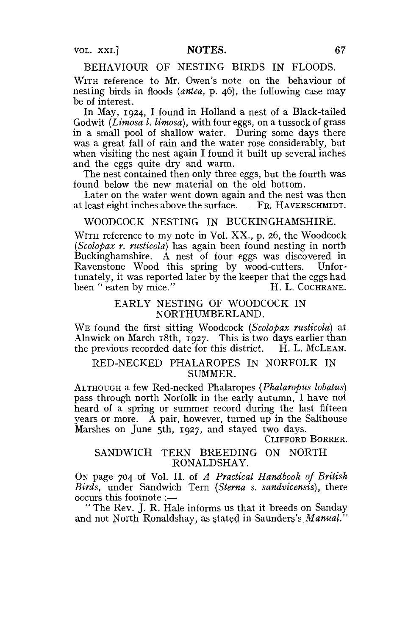VOL. XXI.] **NOTES. 67** 

## BEHAVIOUR OF NESTING BIRDS IN FLOODS.

WITH reference to Mr. Owen's note on the behaviour of nesting birds in floods *(antea,* p. 46), the following case may be of interest.

In May, 1924, I found in Holland a nest of a Black-tailed Godwit *(Limosa I. limosa),* with four eggs, on a tussock of grass in a small pool of shallow water. During some days there was a great fall of rain and the water rose considerably, but when visiting the nest again I found it built up several inches and the eggs quite dry and warm.

The nest contained then only three eggs, but the fourth was found below the new material on the old bottom.

Later on the water went down again and the nest was then at least eight inches above the surface. FR. HAVERSCHMIDT.

#### WOODCOCK NESTING IN BUCKINGHAMSHIRE.

WITH reference to my note in Vol. XX., p. 26, the Woodcock *(Scolopax r. rusticola)* has again been found nesting in north Buckinghamshire. A nest of four eggs was discovered in Ravenstone Wood this spring by wood-cutters. Unfortunately, it was reported later by the keeper that the eggs had been " eaten by mice." H. L. COCHRANE.

#### EARLY NESTING OF WOODCOCK IN NORTHUMBERLAND.

WE found the first sitting Woodcock (Scolopax rusticola) at Alnwick on March 18th, 1927. This is two days earlier than the previous recorded date for this district. H. L. MCLEAN.

#### RED-NECKED PHALAROPES IN NORFOLK IN SUMMER.

ALTHOUGH a few Red-necked Phalaropes *(Phalaropus lobatus)*  pass through north Norfolk in the early autumn, I have not heard of a spring or summer record during the last fifteen years or more. A pair, however, turned up in the Salthouse Marshes on June 5th, 1927, and stayed two days.

CLIFFORD BORRER.

## SANDWICH TERN BREEDING ON NORTH RONALDSHAY.

ON page 704 of Vol. II. of *A Practical Handbook of British Birds,* under Sandwich Tern *(Sterna s. sandvicensis),* there occurs this footnote :—

" The Rev. J. R. Hale informs us that it breeds on Sanday and not North Ronaldshay, as stated in Saunders's *Manual."*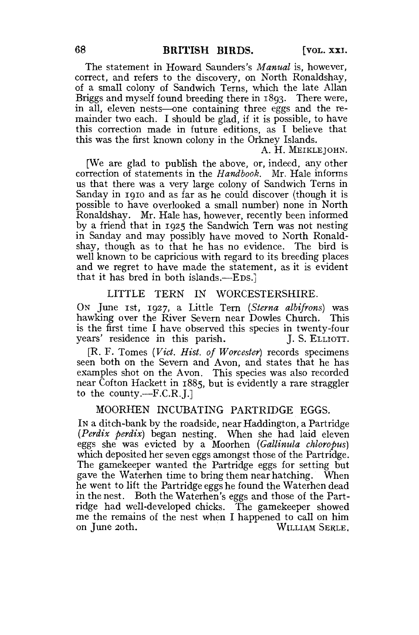The statement in Howard Saunders's *Manual* is, however, correct, and refers to the discovery, on North Ronaldshay, of a small colony of Sandwich Terns, which the late Allan Briggs and myself found breeding there in 1893. There were, in all, eleven nests—one containing three eggs and the remainder two each. I should be glad, if it is possible, to have this correction made in future editions, as I believe that this was the first known colony in the Orkney Islands.

A. H. MEIKLEJOHN.

[We are glad to publish the above, or, indeed, any other correction of statements in the *Handbook.* Mr. Hale informs us that there was a very large colony of Sandwich Terns in Sanday in 1910 and as far as he could discover (though it is possible to have overlooked a small number) none in North Ronaldshay. Mr. Hale has, however, recently been informed by a friend that in 1925 the Sandwich Tern was not nesting in Sanday and may possibly have moved to North Ronaldshay, though as to that he has no evidence. The bird is well known to be capricious with regard to its breeding places and we regret to have made the statement, as it is evident that it has bred in both islands.—EDS.]

#### LITTLE TERN IN WORCESTERSHIRE.

ON June 1st, 1927, a Little Tern *{Sterna albifrons)* was hawking over the River Severn near Dowles Church. This is the first time I have observed this species in twenty-four years' residence in this parish. J. S. ELLIOTT.

[R. F. Tomes *(Vict. Hist, of Worcester)* records specimens seen both on the Severn and Avon, and states that he has examples shot on the Avon. This species was also recorded near Cofton Hackett in 1885, but is evidently a rare straggler to the county.—F.C.R.J.]

#### MOORHEN INCUBATING PARTRIDGE EGGS.

IN a ditch-bank by the roadside, near Haddington, a Partridge *(Perdix perdix)* began nesting. When she had laid eleven eggs she was evicted by a Moorhen *(Gallinula chloropus)*  which deposited her seven eggs amongst those of the Partridge. The gamekeeper wanted the Partridge eggs for setting but gave the Waterhen time to bring them near hatching. When he went to lift the Partridge eggs he found the Waterhen dead in the nest. Both the Waterhen's eggs and those of the Partridge had well-developed chicks. The gamekeeper showed me the remains of the nest when I happened to call on him on June 20th. WILLIAM SERLE,